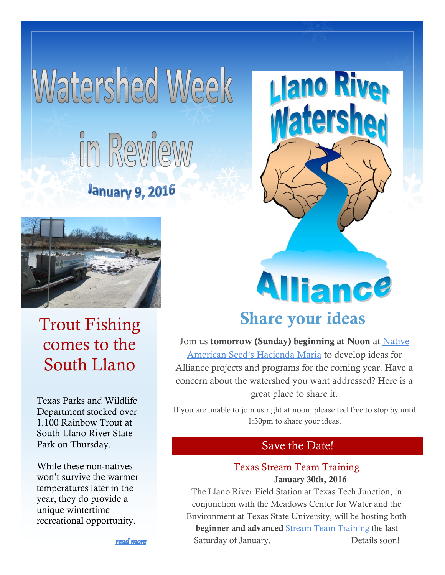## **Matershed Meek** in Review **January 9, 2016**



Trout Fishing comes to the South Llano

Texas Parks and Wildlife Department stocked over 1,100 Rainbow Trout at South Llano River State Park on Thursday.

While these non-natives won't survive the warmer temperatures later in the year, they do provide a unique wintertime recreational opportunity.

# **Alliance**

**Llano Riv** 

ters

### **Share your ideas**

Join us **tomorrow (Sunday) beginning at Noon** at [Native](http://southllano.org/2015/01/directions-to-hacienda-maria-at-native-american-seed/)  [American Seed's Hacienda Maria](http://southllano.org/2015/01/directions-to-hacienda-maria-at-native-american-seed/) to develop ideas for Alliance projects and programs for the coming year. Have a concern about the watershed you want addressed? Here is a great place to share it.

If you are unable to join us right at noon, please feel free to stop by until 1:30pm to share your ideas.

#### Save the Date!

#### Texas Stream Team Training **January 30th, 2016**

The Llano River Field Station at Texas Tech Junction, in conjunction with the Meadows Center for Water and the Environment at Texas State University, will be hosting both **beginner and advanced** [Stream Team Training](http://www.meadowscenter.txstate.edu/Service/TexasStreamTeam.html) the last Saturday of January. Details soon!